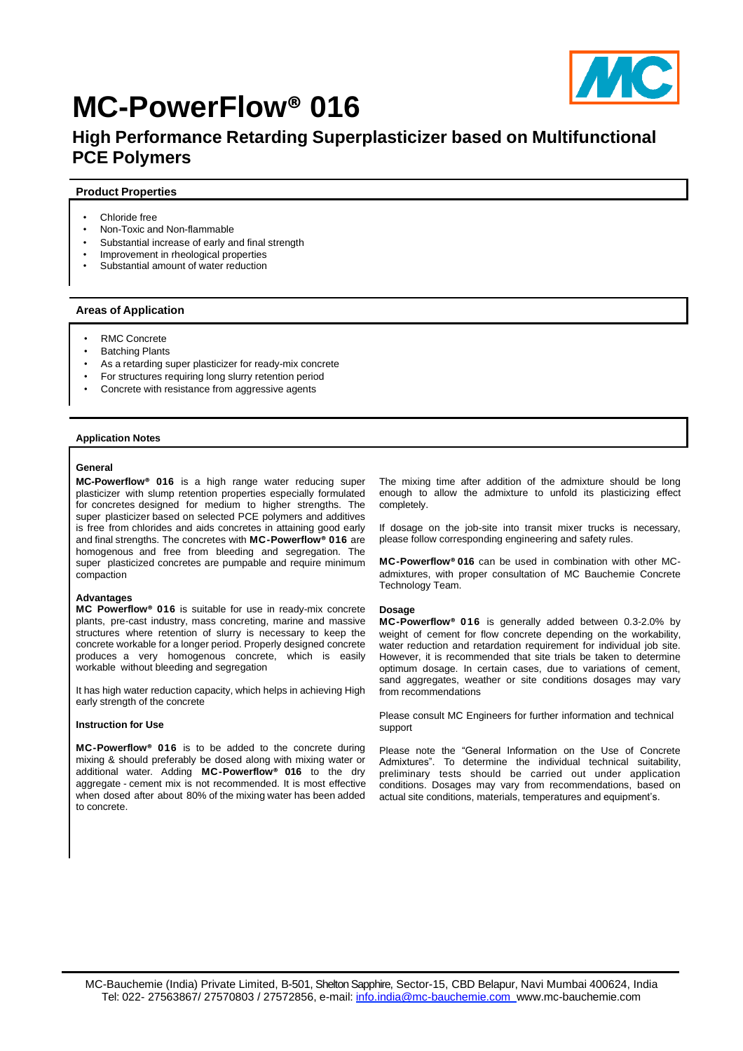

# **MC-PowerFlow® 016**

# **High Performance Retarding Superplasticizer based on Multifunctional PCE Polymers**

# **Product Properties**

- Chloride free
- Non-Toxic and Non-flammable
- Substantial increase of early and final strength
- Improvement in rheological properties
- Substantial amount of water reduction

# **Areas of Application**

- RMC Concrete
- Batching Plants
- As a retarding super plasticizer for ready-mix concrete
- For structures requiring long slurry retention period
- Concrete with resistance from aggressive agents

# **Application Notes**

# **General**

**MC-Powerflow® 016** is a high range water reducing super plasticizer with slump retention properties especially formulated for concretes designed for medium to higher strengths. The super plasticizer based on selected PCE polymers and additives is free from chlorides and aids concretes in attaining good early and final strengths. The concretes with **MC-Powerflow® 016** are homogenous and free from bleeding and segregation. The super plasticized concretes are pumpable and require minimum compaction

#### **Advantages**

**MC Powerflow® 016** is suitable for use in ready-mix concrete plants, pre-cast industry, mass concreting, marine and massive structures where retention of slurry is necessary to keep the concrete workable for a longer period. Properly designed concrete produces a very homogenous concrete, which is easily workable without bleeding and segregation

It has high water reduction capacity, which helps in achieving High early strength of the concrete

#### **Instruction for Use**

**MC-Powerflow® 016** is to be added to the concrete during mixing & should preferably be dosed along with mixing water or additional water. Adding **MC-Powerflow® 016** to the dry aggregate - cement mix is not recommended. It is most effective when dosed after about 80% of the mixing water has been added to concrete.

The mixing time after addition of the admixture should be long enough to allow the admixture to unfold its plasticizing effect completely.

If dosage on the job-site into transit mixer trucks is necessary, please follow corresponding engineering and safety rules.

**MC-Powerflow® 016** can be used in combination with other MCadmixtures, with proper consultation of MC Bauchemie Concrete Technology Team.

# **Dosage**

**MC-Powerflow® 016** is generally added between 0.3-2.0% by weight of cement for flow concrete depending on the workability, water reduction and retardation requirement for individual job site. However, it is recommended that site trials be taken to determine optimum dosage. In certain cases, due to variations of cement, sand aggregates, weather or site conditions dosages may vary from recommendations

Please consult MC Engineers for further information and technical support

Please note the "General Information on the Use of Concrete Admixtures". To determine the individual technical suitability, preliminary tests should be carried out under application conditions. Dosages may vary from recommendations, based on actual site conditions, materials, temperatures and equipment's.